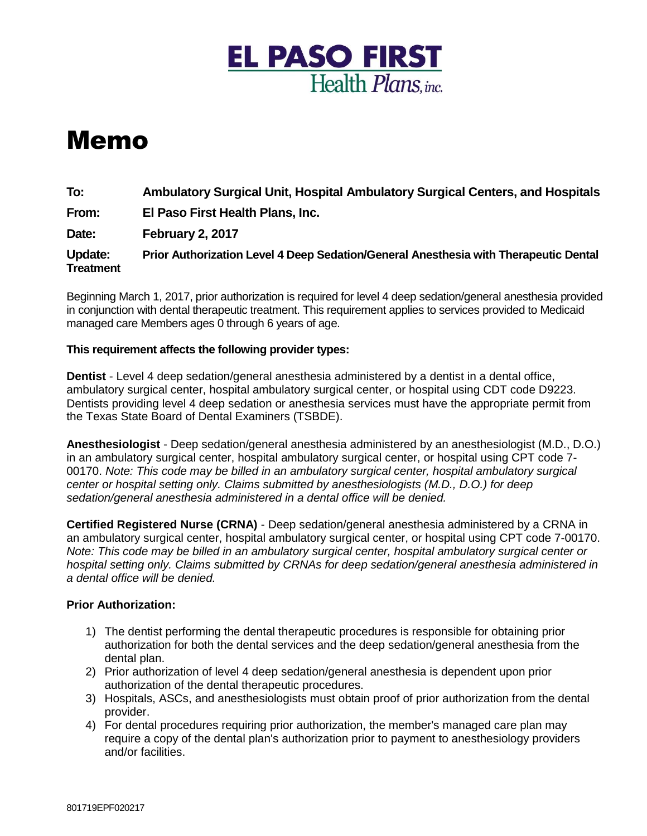

## Memo

**To: Ambulatory Surgical Unit, Hospital Ambulatory Surgical Centers, and Hospitals**

**From: El Paso First Health Plans, Inc.**

**Date: February 2, 2017**

**Update: Prior Authorization Level 4 Deep Sedation/General Anesthesia with Therapeutic Dental Treatment** 

Beginning March 1, 2017, prior authorization is required for level 4 deep sedation/general anesthesia provided in conjunction with dental therapeutic treatment. This requirement applies to services provided to Medicaid managed care Members ages 0 through 6 years of age.

## **This requirement affects the following provider types:**

**Dentist** - Level 4 deep sedation/general anesthesia administered by a dentist in a dental office, ambulatory surgical center, hospital ambulatory surgical center, or hospital using CDT code D9223. Dentists providing level 4 deep sedation or anesthesia services must have the appropriate permit from the Texas State Board of Dental Examiners (TSBDE).

**Anesthesiologist** - Deep sedation/general anesthesia administered by an anesthesiologist (M.D., D.O.) in an ambulatory surgical center, hospital ambulatory surgical center, or hospital using CPT code 7- 00170. *Note: This code may be billed in an ambulatory surgical center, hospital ambulatory surgical center or hospital setting only. Claims submitted by anesthesiologists (M.D., D.O.) for deep sedation/general anesthesia administered in a dental office will be denied.* 

**Certified Registered Nurse (CRNA)** - Deep sedation/general anesthesia administered by a CRNA in an ambulatory surgical center, hospital ambulatory surgical center, or hospital using CPT code 7-00170. *Note: This code may be billed in an ambulatory surgical center, hospital ambulatory surgical center or hospital setting only. Claims submitted by CRNAs for deep sedation/general anesthesia administered in a dental office will be denied.* 

## **Prior Authorization:**

- 1) The dentist performing the dental therapeutic procedures is responsible for obtaining prior authorization for both the dental services and the deep sedation/general anesthesia from the dental plan.
- 2) Prior authorization of level 4 deep sedation/general anesthesia is dependent upon prior authorization of the dental therapeutic procedures.
- 3) Hospitals, ASCs, and anesthesiologists must obtain proof of prior authorization from the dental provider.
- 4) For dental procedures requiring prior authorization, the member's managed care plan may require a copy of the dental plan's authorization prior to payment to anesthesiology providers and/or facilities.